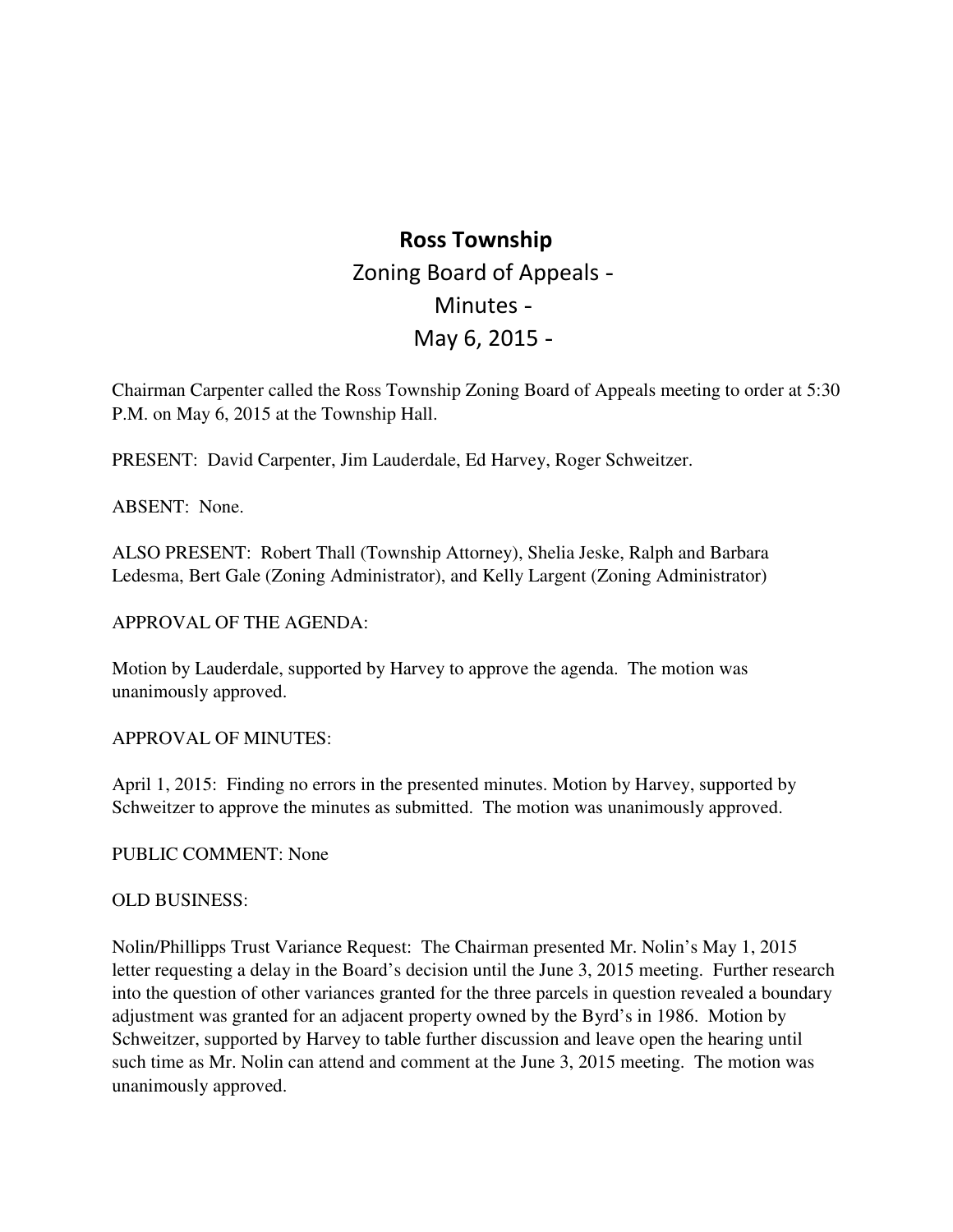# **Ross Township**  Zoning Board of Appeals May 6, 2015 Minutes

 Chairman Carpenter called the Ross Township Zoning Board of Appeals meeting to order at 5:30 P.M. on May 6, 2015 at the Township Hall.

PRESENT: David Carpenter, Jim Lauderdale, Ed Harvey, Roger Schweitzer.

ABSENT: None.

 ALSO PRESENT: Robert Thall (Township Attorney), Shelia Jeske, Ralph and Barbara Ledesma, Bert Gale (Zoning Administrator), and Kelly Largent (Zoning Administrator)

## APPROVAL OF THE AGENDA:

 Motion by Lauderdale, supported by Harvey to approve the agenda. The motion was unanimously approved.

# APPROVAL OF MINUTES:

 April 1, 2015: Finding no errors in the presented minutes. Motion by Harvey, supported by Schweitzer to approve the minutes as submitted. The motion was unanimously approved.

PUBLIC COMMENT: None

## **OLD BUSINESS:**

OLD BUSINESS:<br>Nolin/Phillipps Trust Variance Request: The Chairman presented Mr. Nolin's May 1, 2015 letter requesting a delay in the Board's decision until the June 3, 2015 meeting. Further research into the question of other variances granted for the three parcels in question revealed a boundary adjustment was granted for an adjacent property owned by the Byrd's in 1986. Motion by Schweitzer, supported by Harvey to table further discussion and leave open the hearing until such time as Mr. Nolin can attend and comment at the June 3, 2015 meeting. The motion was unanimously approved.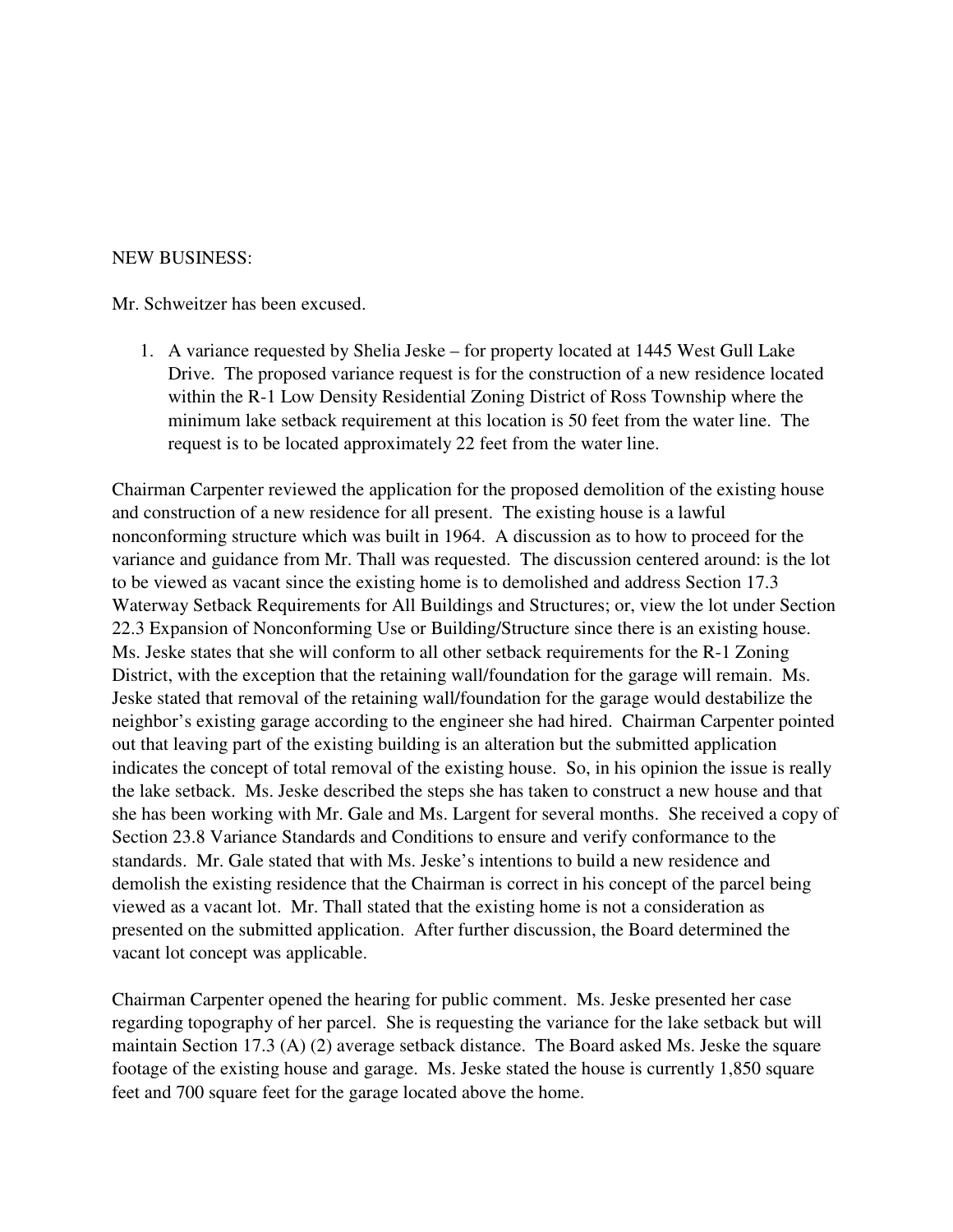#### NEW BUSINESS:

Mr. Schweitzer has been excused.

1. A variance requested by Shelia Jeske – for property located at 1445 West Gull Lake Drive. The proposed variance request is for the construction of a new residence located within the R-1 Low Density Residential Zoning District of Ross Township where the minimum lake setback requirement at this location is 50 feet from the water line. The request is to be located approximately 22 feet from the water line.

 Chairman Carpenter reviewed the application for the proposed demolition of the existing house and construction of a new residence for all present. The existing house is a lawful nonconforming structure which was built in 1964. A discussion as to how to proceed for the variance and guidance from Mr. Thall was requested. The discussion centered around: is the lot to be viewed as vacant since the existing home is to demolished and address Section 17.3 Waterway Setback Requirements for All Buildings and Structures; or, view the lot under Section 22.3 Expansion of Nonconforming Use or Building/Structure since there is an existing house. Ms. Jeske states that she will conform to all other setback requirements for the R-1 Zoning District, with the exception that the retaining wall/foundation for the garage will remain. Ms. Jeske stated that removal of the retaining wall/foundation for the garage would destabilize the neighbor's existing garage according to the engineer she had hired. Chairman Carpenter pointed out that leaving part of the existing building is an alteration but the submitted application indicates the concept of total removal of the existing house. So, in his opinion the issue is really the lake setback. Ms. Jeske described the steps she has taken to construct a new house and that she has been working with Mr. Gale and Ms. Largent for several months. She received a copy of Section 23.8 Variance Standards and Conditions to ensure and verify conformance to the standards. Mr. Gale stated that with Ms. Jeske's intentions to build a new residence and demolish the existing residence that the Chairman is correct in his concept of the parcel being viewed as a vacant lot. Mr. Thall stated that the existing home is not a consideration as presented on the submitted application. After further discussion, the Board determined the vacant lot concept was applicable.

 Chairman Carpenter opened the hearing for public comment. Ms. Jeske presented her case regarding topography of her parcel. She is requesting the variance for the lake setback but will maintain Section 17.3 (A) (2) average setback distance. The Board asked Ms. Jeske the square footage of the existing house and garage. Ms. Jeske stated the house is currently 1,850 square feet and 700 square feet for the garage located above the home.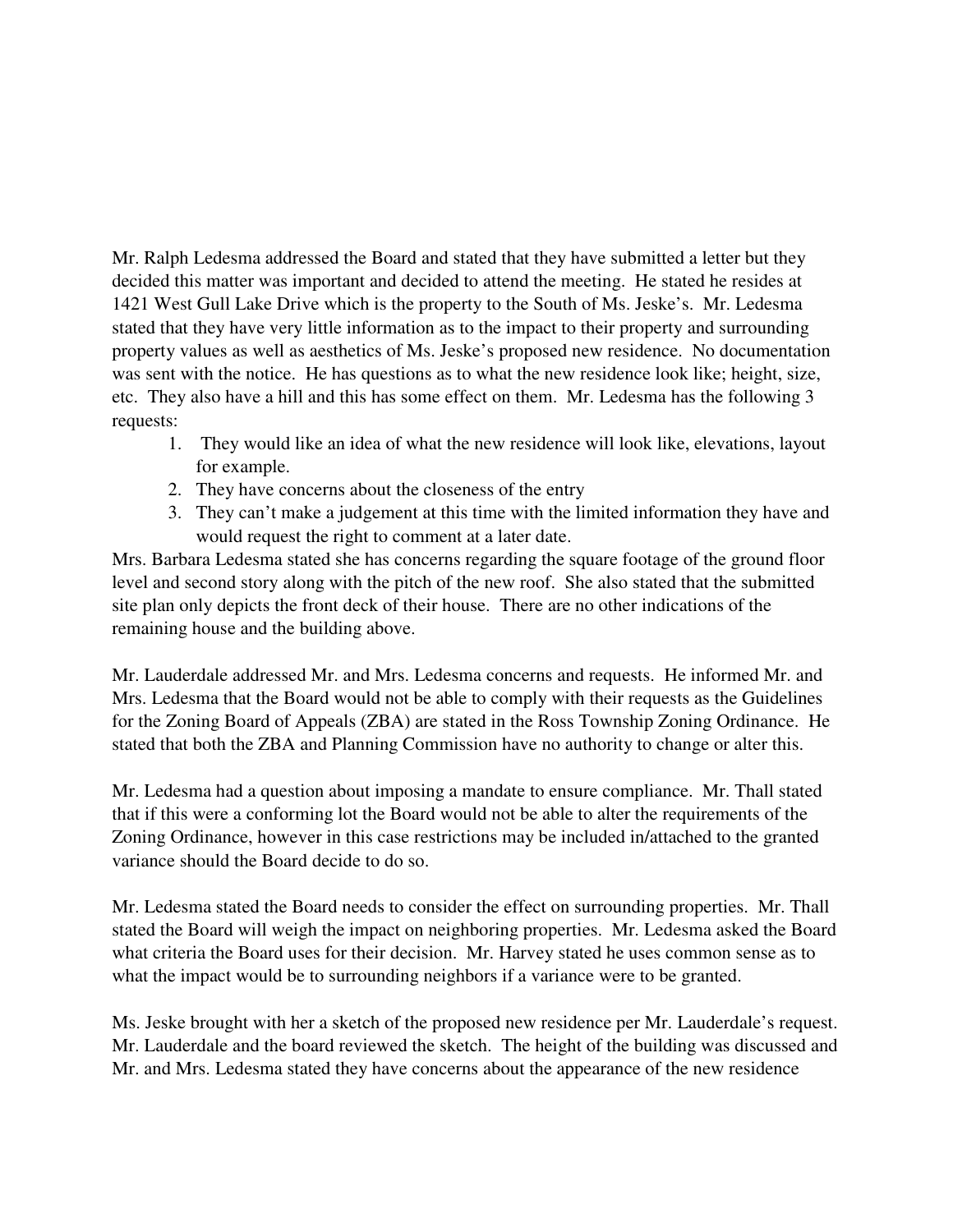Mr. Ralph Ledesma addressed the Board and stated that they have submitted a letter but they decided this matter was important and decided to attend the meeting. He stated he resides at 1421 West Gull Lake Drive which is the property to the South of Ms. Jeske's. Mr. Ledesma stated that they have very little information as to the impact to their property and surrounding property values as well as aesthetics of Ms. Jeske's proposed new residence. No documentation was sent with the notice. He has questions as to what the new residence look like; height, size, etc. They also have a hill and this has some effect on them. Mr. Ledesma has the following 3 requests:

- 1. They would like an idea of what the new residence will look like, elevations, layout for example.
- 2. They have concerns about the closeness of the entry
- 3. They can't make a judgement at this time with the limited information they have and would request the right to comment at a later date.

 Mrs. Barbara Ledesma stated she has concerns regarding the square footage of the ground floor level and second story along with the pitch of the new roof. She also stated that the submitted site plan only depicts the front deck of their house. There are no other indications of the remaining house and the building above.

 Mr. Lauderdale addressed Mr. and Mrs. Ledesma concerns and requests. He informed Mr. and Mrs. Ledesma that the Board would not be able to comply with their requests as the Guidelines for the Zoning Board of Appeals (ZBA) are stated in the Ross Township Zoning Ordinance. He stated that both the ZBA and Planning Commission have no authority to change or alter this.

 Mr. Ledesma had a question about imposing a mandate to ensure compliance. Mr. Thall stated that if this were a conforming lot the Board would not be able to alter the requirements of the Zoning Ordinance, however in this case restrictions may be included in/attached to the granted variance should the Board decide to do so.

 Mr. Ledesma stated the Board needs to consider the effect on surrounding properties. Mr. Thall stated the Board will weigh the impact on neighboring properties. Mr. Ledesma asked the Board what criteria the Board uses for their decision. Mr. Harvey stated he uses common sense as to what the impact would be to surrounding neighbors if a variance were to be granted.

 Ms. Jeske brought with her a sketch of the proposed new residence per Mr. Lauderdale's request. Mr. Lauderdale and the board reviewed the sketch. The height of the building was discussed and Mr. and Mrs. Ledesma stated they have concerns about the appearance of the new residence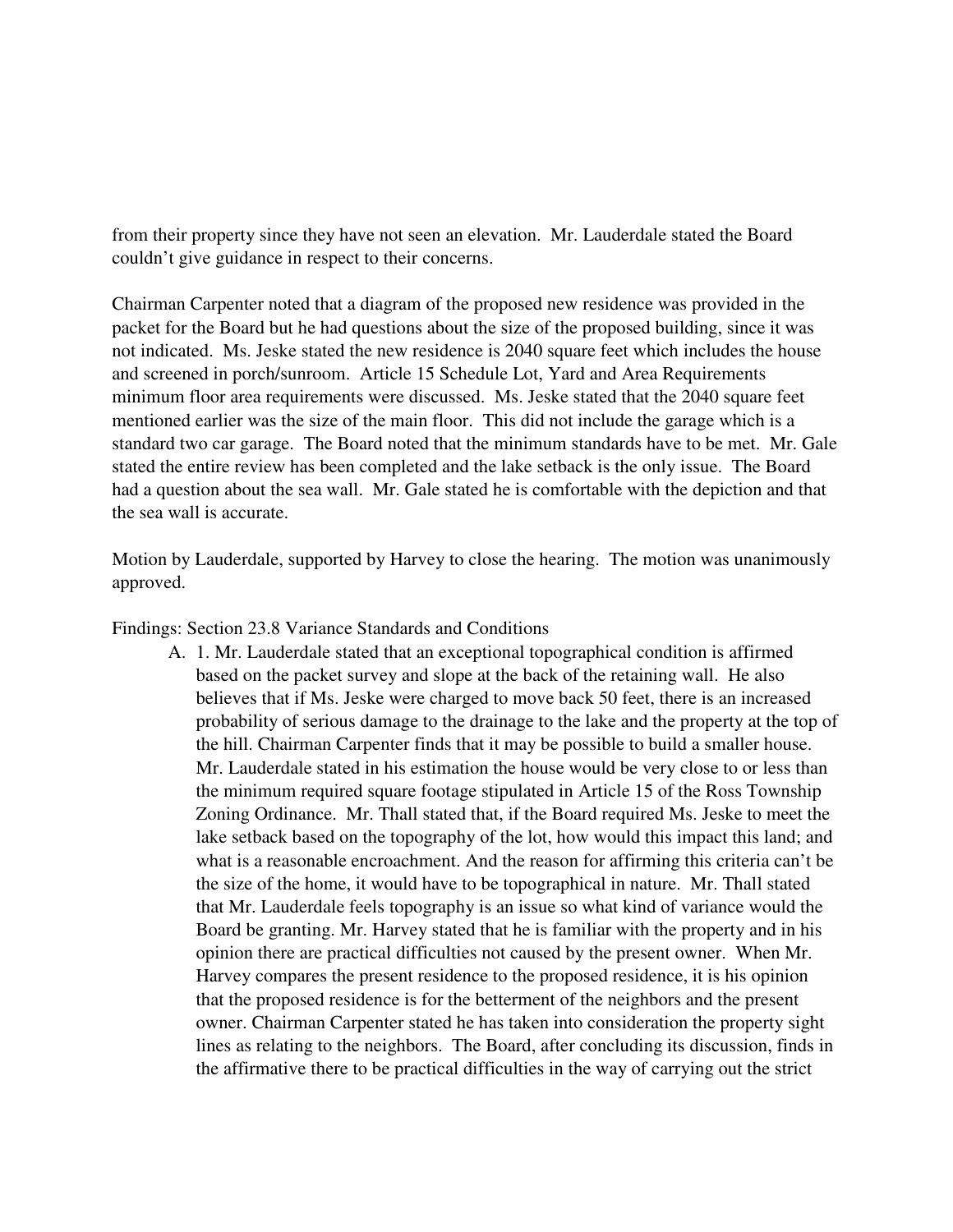from their property since they have not seen an elevation. Mr. Lauderdale stated the Board couldn't give guidance in respect to their concerns.

 Chairman Carpenter noted that a diagram of the proposed new residence was provided in the packet for the Board but he had questions about the size of the proposed building, since it was not indicated. Ms. Jeske stated the new residence is 2040 square feet which includes the house and screened in porch/sunroom. Article 15 Schedule Lot, Yard and Area Requirements minimum floor area requirements were discussed. Ms. Jeske stated that the 2040 square feet mentioned earlier was the size of the main floor. This did not include the garage which is a standard two car garage. The Board noted that the minimum standards have to be met. Mr. Gale stated the entire review has been completed and the lake setback is the only issue. The Board had a question about the sea wall. Mr. Gale stated he is comfortable with the depiction and that the sea wall is accurate.

 Motion by Lauderdale, supported by Harvey to close the hearing. The motion was unanimously approved.

Findings: Section 23.8 Variance Standards and Conditions

A. 1. Mr. Lauderdale stated that an exceptional topographical condition is affirmed based on the packet survey and slope at the back of the retaining wall. He also believes that if Ms. Jeske were charged to move back 50 feet, there is an increased probability of serious damage to the drainage to the lake and the property at the top of the hill. Chairman Carpenter finds that it may be possible to build a smaller house. Mr. Lauderdale stated in his estimation the house would be very close to or less than the minimum required square footage stipulated in Article 15 of the Ross Township Zoning Ordinance. Mr. Thall stated that, if the Board required Ms. Jeske to meet the lake setback based on the topography of the lot, how would this impact this land; and what is a reasonable encroachment. And the reason for affirming this criteria can't be the size of the home, it would have to be topographical in nature. Mr. Thall stated that Mr. Lauderdale feels topography is an issue so what kind of variance would the Board be granting. Mr. Harvey stated that he is familiar with the property and in his opinion there are practical difficulties not caused by the present owner. When Mr. Harvey compares the present residence to the proposed residence, it is his opinion that the proposed residence is for the betterment of the neighbors and the present owner. Chairman Carpenter stated he has taken into consideration the property sight lines as relating to the neighbors. The Board, after concluding its discussion, finds in the affirmative there to be practical difficulties in the way of carrying out the strict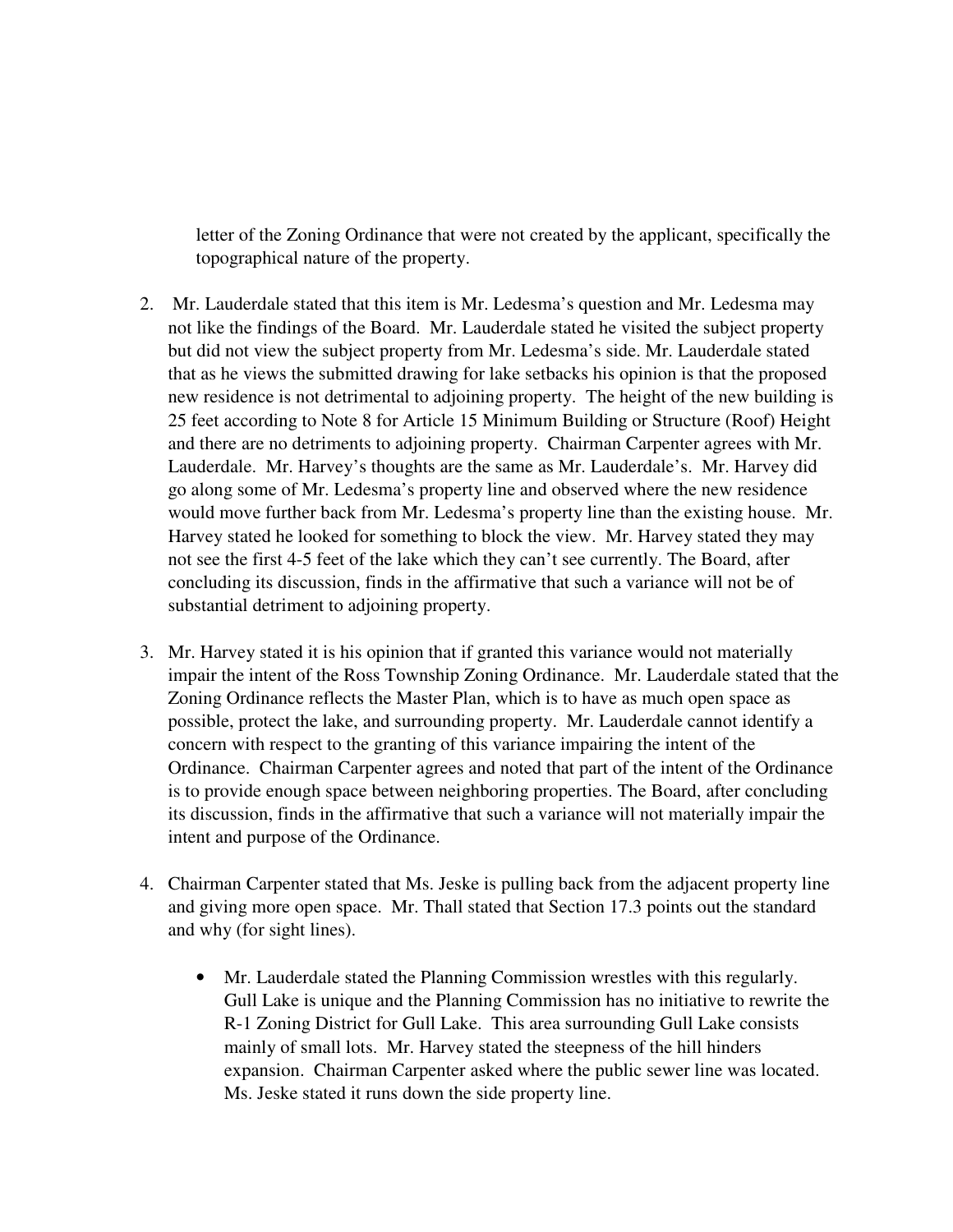letter of the Zoning Ordinance that were not created by the applicant, specifically the topographical nature of the property.

- 2. Mr. Lauderdale stated that this item is Mr. Ledesma's question and Mr. Ledesma may not like the findings of the Board. Mr. Lauderdale stated he visited the subject property but did not view the subject property from Mr. Ledesma's side. Mr. Lauderdale stated that as he views the submitted drawing for lake setbacks his opinion is that the proposed new residence is not detrimental to adjoining property. The height of the new building is 25 feet according to Note 8 for Article 15 Minimum Building or Structure (Roof) Height and there are no detriments to adjoining property. Chairman Carpenter agrees with Mr. Lauderdale. Mr. Harvey's thoughts are the same as Mr. Lauderdale's. Mr. Harvey did go along some of Mr. Ledesma's property line and observed where the new residence would move further back from Mr. Ledesma's property line than the existing house. Mr. Harvey stated he looked for something to block the view. Mr. Harvey stated they may not see the first 4-5 feet of the lake which they can't see currently. The Board, after concluding its discussion, finds in the affirmative that such a variance will not be of substantial detriment to adjoining property.
- 3. Mr. Harvey stated it is his opinion that if granted this variance would not materially impair the intent of the Ross Township Zoning Ordinance. Mr. Lauderdale stated that the Zoning Ordinance reflects the Master Plan, which is to have as much open space as possible, protect the lake, and surrounding property. Mr. Lauderdale cannot identify a concern with respect to the granting of this variance impairing the intent of the Ordinance. Chairman Carpenter agrees and noted that part of the intent of the Ordinance is to provide enough space between neighboring properties. The Board, after concluding its discussion, finds in the affirmative that such a variance will not materially impair the intent and purpose of the Ordinance.
- 4. Chairman Carpenter stated that Ms. Jeske is pulling back from the adjacent property line and giving more open space. Mr. Thall stated that Section 17.3 points out the standard and why (for sight lines).
	- Mr. Lauderdale stated the Planning Commission wrestles with this regularly. Gull Lake is unique and the Planning Commission has no initiative to rewrite the R-1 Zoning District for Gull Lake. This area surrounding Gull Lake consists mainly of small lots. Mr. Harvey stated the steepness of the hill hinders expansion. Chairman Carpenter asked where the public sewer line was located. Ms. Jeske stated it runs down the side property line.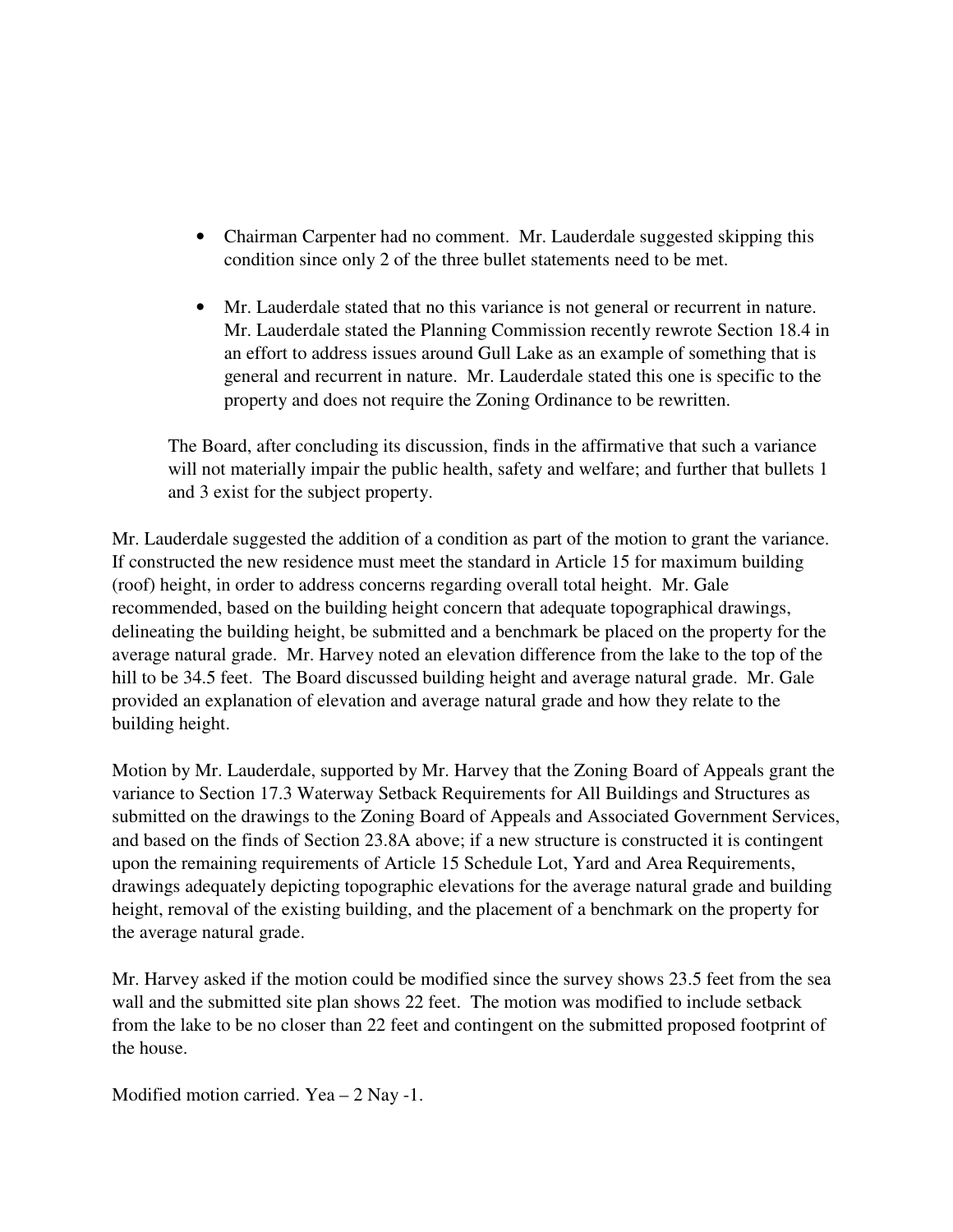- • Chairman Carpenter had no comment. Mr. Lauderdale suggested skipping this condition since only 2 of the three bullet statements need to be met.
- Mr. Lauderdale stated that no this variance is not general or recurrent in nature. Mr. Lauderdale stated the Planning Commission recently rewrote Section 18.4 in an effort to address issues around Gull Lake as an example of something that is general and recurrent in nature. Mr. Lauderdale stated this one is specific to the property and does not require the Zoning Ordinance to be rewritten.

 The Board, after concluding its discussion, finds in the affirmative that such a variance will not materially impair the public health, safety and welfare; and further that bullets 1 and 3 exist for the subject property.

 Mr. Lauderdale suggested the addition of a condition as part of the motion to grant the variance. If constructed the new residence must meet the standard in Article 15 for maximum building (roof) height, in order to address concerns regarding overall total height. Mr. Gale recommended, based on the building height concern that adequate topographical drawings, delineating the building height, be submitted and a benchmark be placed on the property for the average natural grade. Mr. Harvey noted an elevation difference from the lake to the top of the hill to be 34.5 feet. The Board discussed building height and average natural grade. Mr. Gale provided an explanation of elevation and average natural grade and how they relate to the building height.

 Motion by Mr. Lauderdale, supported by Mr. Harvey that the Zoning Board of Appeals grant the variance to Section 17.3 Waterway Setback Requirements for All Buildings and Structures as submitted on the drawings to the Zoning Board of Appeals and Associated Government Services, and based on the finds of Section 23.8A above; if a new structure is constructed it is contingent upon the remaining requirements of Article 15 Schedule Lot, Yard and Area Requirements, drawings adequately depicting topographic elevations for the average natural grade and building height, removal of the existing building, and the placement of a benchmark on the property for the average natural grade.

 Mr. Harvey asked if the motion could be modified since the survey shows 23.5 feet from the sea wall and the submitted site plan shows 22 feet. The motion was modified to include setback from the lake to be no closer than 22 feet and contingent on the submitted proposed footprint of the house.

Modified motion carried. Yea – 2 Nay -1.